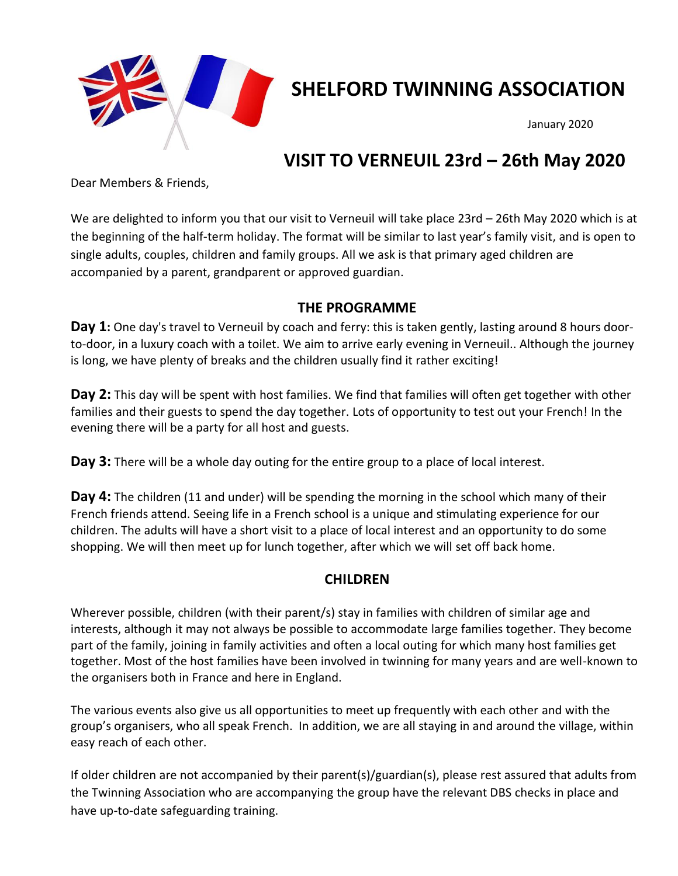

# **SHELFORD TWINNING ASSOCIATION**

January 2020

# **VISIT TO VERNEUIL 23rd – 26th May 2020**

Dear Members & Friends,

We are delighted to inform you that our visit to Verneuil will take place 23rd – 26th May 2020 which is at the beginning of the half-term holiday. The format will be similar to last year's family visit, and is open to single adults, couples, children and family groups. All we ask is that primary aged children are accompanied by a parent, grandparent or approved guardian.

#### **THE PROGRAMME**

Day 1: One day's travel to Verneuil by coach and ferry: this is taken gently, lasting around 8 hours doorto-door, in a luxury coach with a toilet. We aim to arrive early evening in Verneuil.. Although the journey is long, we have plenty of breaks and the children usually find it rather exciting!

**Day 2:** This day will be spent with host families. We find that families will often get together with other families and their guests to spend the day together. Lots of opportunity to test out your French! In the evening there will be a party for all host and guests.

**Day 3:** There will be a whole day outing for the entire group to a place of local interest.

**Day 4:** The children (11 and under) will be spending the morning in the school which many of their French friends attend. Seeing life in a French school is a unique and stimulating experience for our children. The adults will have a short visit to a place of local interest and an opportunity to do some shopping. We will then meet up for lunch together, after which we will set off back home.

### **CHILDREN**

Wherever possible, children (with their parent/s) stay in families with children of similar age and interests, although it may not always be possible to accommodate large families together. They become part of the family, joining in family activities and often a local outing for which many host families get together. Most of the host families have been involved in twinning for many years and are well-known to the organisers both in France and here in England.

The various events also give us all opportunities to meet up frequently with each other and with the group's organisers, who all speak French. In addition, we are all staying in and around the village, within easy reach of each other.

If older children are not accompanied by their parent(s)/guardian(s), please rest assured that adults from the Twinning Association who are accompanying the group have the relevant DBS checks in place and have up-to-date safeguarding training.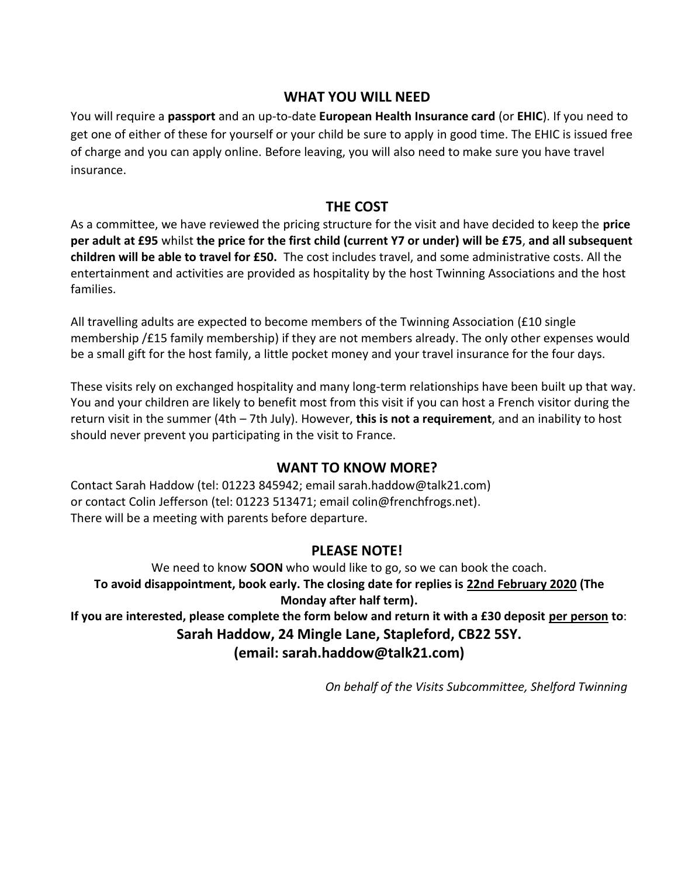### **WHAT YOU WILL NEED**

You will require a **passport** and an up-to-date **European Health Insurance card** (or **EHIC**). If you need to get one of either of these for yourself or your child be sure to apply in good time. The EHIC is issued free of charge and you can apply online. Before leaving, you will also need to make sure you have travel insurance.

## **THE COST**

As a committee, we have reviewed the pricing structure for the visit and have decided to keep the **price per adult at £95** whilst **the price for the first child (current Y7 or under) will be £75**, **and all subsequent children will be able to travel for £50.** The cost includes travel, and some administrative costs. All the entertainment and activities are provided as hospitality by the host Twinning Associations and the host families.

All travelling adults are expected to become members of the Twinning Association (£10 single membership /£15 family membership) if they are not members already. The only other expenses would be a small gift for the host family, a little pocket money and your travel insurance for the four days.

These visits rely on exchanged hospitality and many long-term relationships have been built up that way. You and your children are likely to benefit most from this visit if you can host a French visitor during the return visit in the summer (4th – 7th July). However, **this is not a requirement**, and an inability to host should never prevent you participating in the visit to France.

#### **WANT TO KNOW MORE?**

Contact Sarah Haddow (tel: 01223 845942; email [sarah.haddow@talk21.com\)](mailto:sarah.haddow@talk21.com) or contact Colin Jefferson (tel: 01223 513471; email colin@frenchfrogs.net). There will be a meeting with parents before departure.

#### **PLEASE NOTE!**

We need to know **SOON** who would like to go, so we can book the coach. **To avoid disappointment, book early. The closing date for replies is 22nd February 2020 (The Monday after half term). If you are interested, please complete the form below and return it with a £30 deposit per person to**: **Sarah Haddow, 24 Mingle Lane, Stapleford, CB22 5SY. (email: sarah.haddow@talk21.com)**

*On behalf of the Visits Subcommittee, Shelford Twinning*